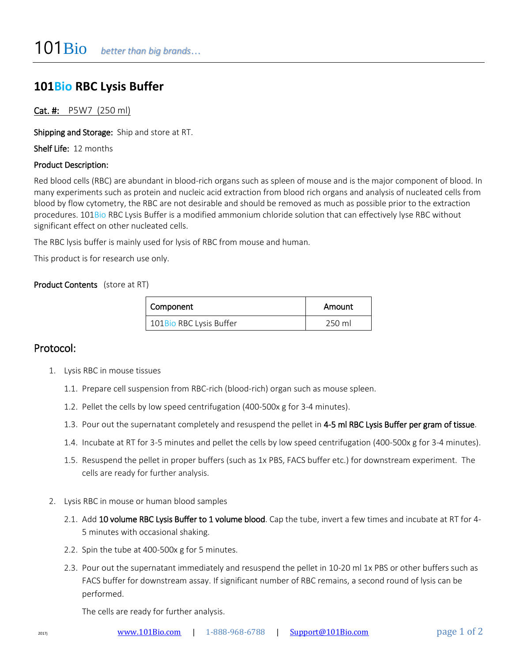## **101Bio RBC Lysis Buffer**

### Cat. #: P5W7 (250 ml)

Shipping and Storage: Ship and store at RT.

Shelf Life: 12 months

#### Product Description:

Red blood cells (RBC) are abundant in blood-rich organs such as spleen of mouse and is the major component of blood. In many experiments such as protein and nucleic acid extraction from blood rich organs and analysis of nucleated cells from blood by flow cytometry, the RBC are not desirable and should be removed as much as possible prior to the extraction procedures. 101Bio RBC Lysis Buffer is a modified ammonium chloride solution that can effectively lyse RBC without significant effect on other nucleated cells.

The RBC lysis buffer is mainly used for lysis of RBC from mouse and human.

This product is for research use only.

#### Product Contents (store at RT)

| Component               | Amount |  |
|-------------------------|--------|--|
| 101Bio RBC Lysis Buffer | 250 ml |  |

## Protocol:

- 1. Lysis RBC in mouse tissues
	- 1.1. Prepare cell suspension from RBC-rich (blood-rich) organ such as mouse spleen.
	- 1.2. Pellet the cells by low speed centrifugation (400-500x g for 3-4 minutes).
	- 1.3. Pour out the supernatant completely and resuspend the pellet in 4-5 ml RBC Lysis Buffer per gram of tissue.
	- 1.4. Incubate at RT for 3-5 minutes and pellet the cells by low speed centrifugation (400-500x g for 3-4 minutes).
	- 1.5. Resuspend the pellet in proper buffers (such as 1x PBS, FACS buffer etc.) for downstream experiment. The cells are ready for further analysis.
- 2. Lysis RBC in mouse or human blood samples
	- 2.1. Add 10 volume RBC Lysis Buffer to 1 volume blood. Cap the tube, invert a few times and incubate at RT for 4-5 minutes with occasional shaking.
	- 2.2. Spin the tube at 400-500x g for 5 minutes.
	- 2.3. Pour out the supernatant immediately and resuspend the pellet in 10-20 ml 1x PBS or other buffers such as FACS buffer for downstream assay. If significant number of RBC remains, a second round of lysis can be performed.

The cells are ready for further analysis.